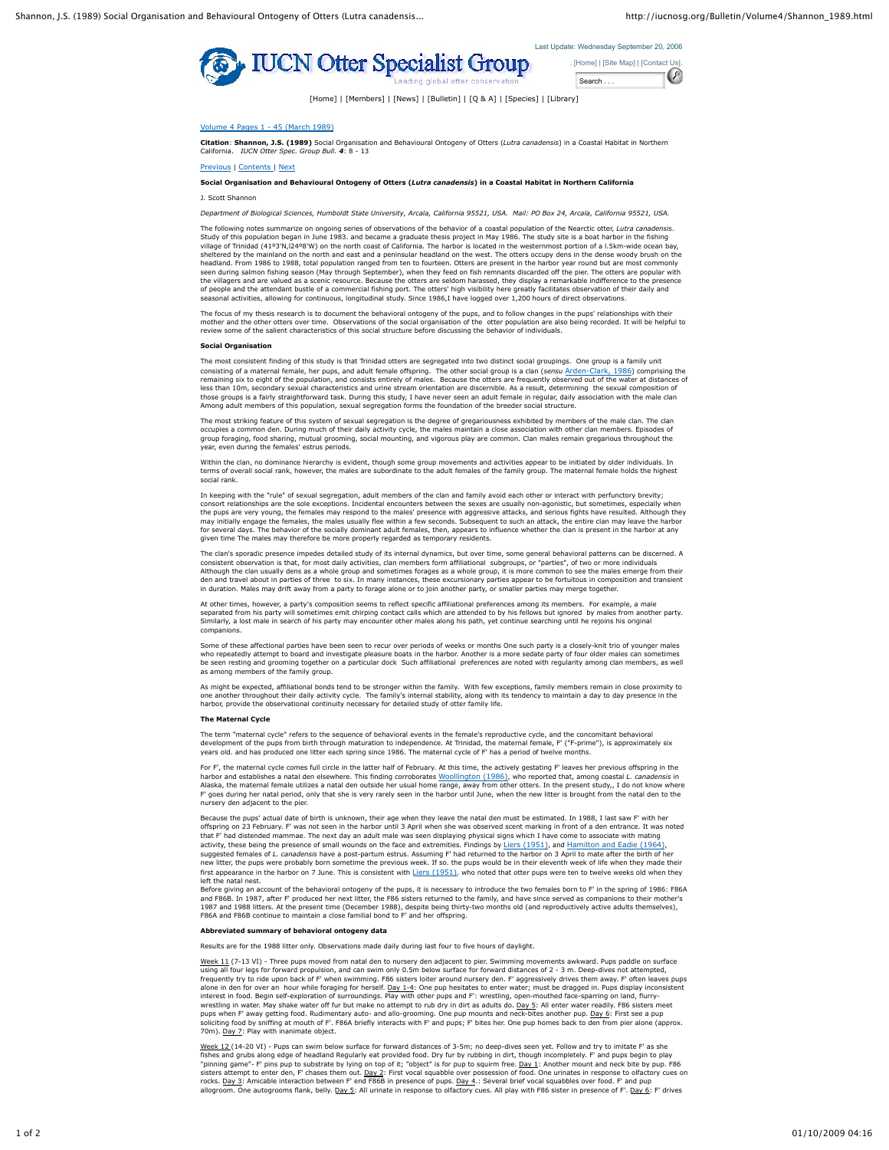



[Home] | [Members] | [News] | [Bulletin] | [Q & A] | [Species] | [Library]

# Volume 4 Pages 1 - 45 (March 1989)

**Citation**: **Shannon, J.S. (1989)** Social Organisation and Behavioural Ontogeny of Otters (*Lutra canadensis*) in a Coastal Habitat in Northern California. *IUCN Otter Spec. Group Bull. 4*: 8 - 13

Previous | Contents | Next

#### **Social Organisation and Behavioural Ontogeny of Otters (***Lutra canadensis***) in a Coastal Habitat in Northern California**

J. Scott Shannon

*Department of Biological Sciences, Humboldt State University, Arcala, California 95521, USA. Mail: PO Box 24, Arcala, California 95521, USA.*

The following notes summarize on ongoing series of observations of the behavior of a coastal population of the Nearctic otter, *Lutra canadensis.*<br>Study of this population began in June 1983. and became a graduate thesis p sheltered by the mainland on the north and east and a peninsular headland on the west. The otters occupy dens in the dense woody brush on the headland. From 1986 to 1988, total population ranged from ten to fourteen. Otters are present in the harbor year round but are most commonly<br>seen during salmon fishing season (May through September), when they feed on fish of people and the attendant bustle of a commercial fishing port. The otters' high visibility here greatly facilitates observation of their daily and .<br>Isonal activities, allowing for continuous, longitudinal study. Since 1986,I have logged over 1,200 hours of direct observation.

The focus of my thesis research is to document the behavioral ontogeny of the pups, and to follow changes in the pups' relationships with their<br>mother and the other otters over time. Observations of the social organisation

#### **Social Organisation**

The most consistent finding of this study is that Trinidad otters are segregated into two distinct social groupings. One group is a family unit consisting of a maternal female, her pups, and adult female offspring. The other social group is a clan (sensu <u>Arden-Clark, 1986</u>) comprising the<br>remaining six to eight of the population, and consists entirely of males. B less than 10m, secondary sexual characteristics and urine stream orientation are discernible. As a result, determining the sexual composition of those groups is a fairly straightforward task. During this study, I have never seen an adult female in regular, daily association with the male clan<br>Among adult members of this population, sexual segregation forms the foun Among adult members of this population, sexual segregation forms the foundation of the breeder social structure.

The most striking feature of this system of sexual segregation is the degree of gregariousness exhibited by members of the male clan. The clan<br>occupies a common den. During much of their daily activity cycle, the males mai group foraging, food sharing, mutual grooming, social mounting, and vigorous play are common. Clan males remain gregarious throughout the year, even during the females' estrus periods.

Within the clan, no dominance hierarchy is evident, though some group movements and activities appear to be initiated by older individuals. In<br>terms of overall social rank, however, the males are subordinate to the adult f social rank.

In keeping with the "rule" of sexual segregation, adult members of the clan and family avoid each other or interact with perfunctory brevity; consort relationships are the sole exceptions. Incidental encounters between the sexes are usually non-agonistic, but sometimes, especially when the pups are very young, the females may respond to the males' presence with aggressive attacks, and serious fights have resulted. Although they<br>may initially engage the females, the males usually flee within a few seconds for several days. The behavior of the socially dominant adult females, then, appears to influence whether the clan is present in the harbor at any given time The males may therefore be more properly regarded as temporary residents.

The clan's sporadic presence impedes detailed study of its internal dynamics, but over time, some general behavioral patterns can be discerned. A consistent observation is that, for most daily activities, clan members form affiliational subgroups, or "parties", of two or more individuals<br>Although the clan usually dens as a whole group and sometimes forages as a whol den and travel about in parties of three to six. In many instances, these excursionary parties appear to be fortuitous in composition and transient in duration. Males may drift away from a party to forage alone or to join another party, or smaller parties may merge together.

At other times, however, a party's composition seems to reflect specific affiliational preferences among its members. For example, a male<br>separated from his party will sometimes emit chirping contact calls which are attend compani

Some of these affectional parties have been seen to recur over periods of weeks or months One such party is a closely-knit trio of younger males who repeatedly attempt to board and investigate pleasure boats in the harbor. Another is a more sedate party of four older males can sometimes<br>be seen resting and grooming together on a particular dock Such affiliational p

As might be expected, affiliational bonds tend to be stronger within the family. With few exceptions, family members remain in close proximity to<br>one another throughout their daily activity cycle. The family's internal st harbor, provide the observational continuity necessary for detailed study of otter family life.

### **The Maternal Cycle**

The term "maternal cycle" refers to the sequence of behavioral events in the female's reproductive cycle, and the concomitant behavioral<br>development of the pups from birth through maturation to independence. At Trinidad, t

For F', the maternal cycle comes full circle in the latter half of February. At this time, the actively gestating F' leaves her previous offspring in the harbor and establishes a natal den elsewhere. This finding corroborates <u>Woollington (1986)</u>, who reported that, among coastal *L. canadensis* in<br>Alaska, the maternal female utilizes a natal den outside her us mange, away nursery den adjacent to the pier.

Because the pups' actual date of birth is unknown, their age when they leave the natal den must be estimated. In 1988, I last saw F' with her offspring on 23 February. F' was not seen in the harbor until 3 April when she was observed scent marking in front of a den entrance. It was noted<br>that F' had distended mammae. The next day an adult male was seen displayin

activity, these being the presence of small wounds on the face and extremities. Findings by <u>Liers (1951)</u>, and <u>Hamilton and Eadie (1964),</u><br>suggested females of *L. canadensis* have a post-partum estrus. Assuming F' had r first appearance in the harbor on 7 June. This is consistent with Liers (1951). who noted that otter pups were ten to twelve weeks old when they left the natal nest.

Before giving an account of the behavioral ontogeny of the pups, it is necessary to introduce the two females born to F' in the spring of 1986: F86A and F86B. In 1987, after F' produced her next litter, the F86 sisters returned to the family, and have since served as companions to their mother's 1987 and 1988 litters. At the present time (December 1988), despite being thirty-two months old (and reproductively active adults themselves), F86A and F86B continue to maintain a close familial bond to F' and her offspring.

## **Abbreviated summary of behavioral ontogeny data**

Results are for the 1988 litter only. Observations made daily during last four to five hours of daylight.

<u>Week 11</u> (7-13 VI) - Three pups moved from natal den to nursery den adjacent to pier. Swimming movements awkward. Pups paddle on surface<br>using all four legs for forward propulsion, and can swim only 0.5m below surface for alone in den for over an hour while foraging for herself. <u>Day 1-4</u>: One pup hesitates to enter water; must be dragged in. Pups display inconsistent<br>interest in food. Begin self-exploration of surroundings. Play with othe pups when F' away getting food. Rudimentary auto- and allo-grooming. One pup mounts and neck-bites another pup. <u>Day 6</u>: First see a pup<br>soliciting food by sniffing at mouth of F'. F86A briefly interacts with F' and pups;

Week 12 (14-20 VI) - Pups can swim below surface for forward distances of 3-5m; no deep-dives seen yet. Follow and try to imitate F' as she<br>fishes and grubs along edge of headland Regularly eat provided food. Dry fur by r